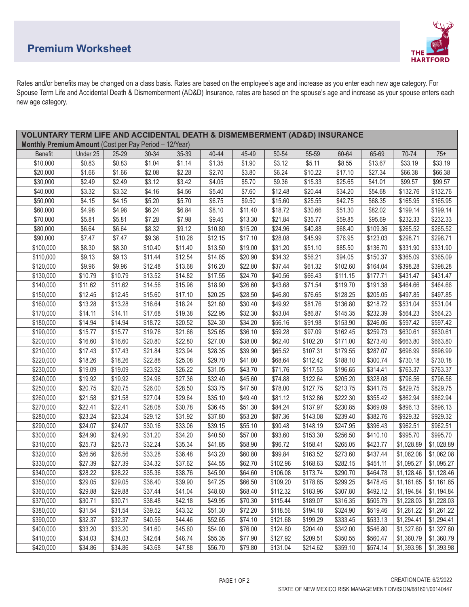## **Premium Worksheet**



Rates and/or benefits may be changed on a class basis. Rates are based on the employee's age and increase as you enter each new age category. For Spouse Term Life and Accidental Death & Dismemberment (AD&D) Insurance, rates are based on the spouse's age and increase as your spouse enters each new age category.

| <b>VOLUNTARY TERM LIFE AND ACCIDENTAL DEATH &amp; DISMEMBERMENT (AD&amp;D) INSURANCE</b> |          |         |         |         |         |         |          |          |          |          |            |                         |
|------------------------------------------------------------------------------------------|----------|---------|---------|---------|---------|---------|----------|----------|----------|----------|------------|-------------------------|
| Monthly Premium Amount (Cost per Pay Period - 12/Year)                                   |          |         |         |         |         |         |          |          |          |          |            |                         |
| <b>Benefit</b>                                                                           | Under 25 | 25-29   | 30-34   | 35-39   | 40-44   | 45-49   | 50-54    | 55-59    | 60-64    | 65-69    | 70-74      | $75+$                   |
| \$10,000                                                                                 | \$0.83   | \$0.83  | \$1.04  | \$1.14  | \$1.35  | \$1.90  | \$3.12   | \$5.11   | \$8.55   | \$13.67  | \$33.19    | \$33.19                 |
| \$20,000                                                                                 | \$1.66   | \$1.66  | \$2.08  | \$2.28  | \$2.70  | \$3.80  | \$6.24   | \$10.22  | \$17.10  | \$27.34  | \$66.38    | \$66.38                 |
| \$30,000                                                                                 | \$2.49   | \$2.49  | \$3.12  | \$3.42  | \$4.05  | \$5.70  | \$9.36   | \$15.33  | \$25.65  | \$41.01  | \$99.57    | \$99.57                 |
| \$40,000                                                                                 | \$3.32   | \$3.32  | \$4.16  | \$4.56  | \$5.40  | \$7.60  | \$12.48  | \$20.44  | \$34.20  | \$54.68  | \$132.76   | \$132.76                |
| \$50,000                                                                                 | \$4.15   | \$4.15  | \$5.20  | \$5.70  | \$6.75  | \$9.50  | \$15.60  | \$25.55  | \$42.75  | \$68.35  | \$165.95   | \$165.95                |
| \$60,000                                                                                 | \$4.98   | \$4.98  | \$6.24  | \$6.84  | \$8.10  | \$11.40 | \$18.72  | \$30.66  | \$51.30  | \$82.02  | \$199.14   | \$199.14                |
| \$70,000                                                                                 | \$5.81   | \$5.81  | \$7.28  | \$7.98  | \$9.45  | \$13.30 | \$21.84  | \$35.77  | \$59.85  | \$95.69  | \$232.33   | \$232.33                |
| \$80,000                                                                                 | \$6.64   | \$6.64  | \$8.32  | \$9.12  | \$10.80 | \$15.20 | \$24.96  | \$40.88  | \$68.40  | \$109.36 | \$265.52   | \$265.52                |
| \$90,000                                                                                 | \$7.47   | \$7.47  | \$9.36  | \$10.26 | \$12.15 | \$17.10 | \$28.08  | \$45.99  | \$76.95  | \$123.03 | \$298.71   | \$298.71                |
| \$100,000                                                                                | \$8.30   | \$8.30  | \$10.40 | \$11.40 | \$13.50 | \$19.00 | \$31.20  | \$51.10  | \$85.50  | \$136.70 | \$331.90   | \$331.90                |
| \$110,000                                                                                | \$9.13   | \$9.13  | \$11.44 | \$12.54 | \$14.85 | \$20.90 | \$34.32  | \$56.21  | \$94.05  | \$150.37 | \$365.09   | \$365.09                |
| \$120,000                                                                                | \$9.96   | \$9.96  | \$12.48 | \$13.68 | \$16.20 | \$22.80 | \$37.44  | \$61.32  | \$102.60 | \$164.04 | \$398.28   | \$398.28                |
| \$130,000                                                                                | \$10.79  | \$10.79 | \$13.52 | \$14.82 | \$17.55 | \$24.70 | \$40.56  | \$66.43  | \$111.15 | \$177.71 | \$431.47   | \$431.47                |
| \$140,000                                                                                | \$11.62  | \$11.62 | \$14.56 | \$15.96 | \$18.90 | \$26.60 | \$43.68  | \$71.54  | \$119.70 | \$191.38 | \$464.66   | \$464.66                |
| \$150,000                                                                                | \$12.45  | \$12.45 | \$15.60 | \$17.10 | \$20.25 | \$28.50 | \$46.80  | \$76.65  | \$128.25 | \$205.05 | \$497.85   | \$497.85                |
| \$160,000                                                                                | \$13.28  | \$13.28 | \$16.64 | \$18.24 | \$21.60 | \$30.40 | \$49.92  | \$81.76  | \$136.80 | \$218.72 | \$531.04   | \$531.04                |
| \$170,000                                                                                | \$14.11  | \$14.11 | \$17.68 | \$19.38 | \$22.95 | \$32.30 | \$53.04  | \$86.87  | \$145.35 | \$232.39 | \$564.23   | \$564.23                |
| \$180,000                                                                                | \$14.94  | \$14.94 | \$18.72 | \$20.52 | \$24.30 | \$34.20 | \$56.16  | \$91.98  | \$153.90 | \$246.06 | \$597.42   | \$597.42                |
| \$190,000                                                                                | \$15.77  | \$15.77 | \$19.76 | \$21.66 | \$25.65 | \$36.10 | \$59.28  | \$97.09  | \$162.45 | \$259.73 | \$630.61   | \$630.61                |
| \$200,000                                                                                | \$16.60  | \$16.60 | \$20.80 | \$22.80 | \$27.00 | \$38.00 | \$62.40  | \$102.20 | \$171.00 | \$273.40 | \$663.80   | \$663.80                |
| \$210,000                                                                                | \$17.43  | \$17.43 | \$21.84 | \$23.94 | \$28.35 | \$39.90 | \$65.52  | \$107.31 | \$179.55 | \$287.07 | \$696.99   | \$696.99                |
| \$220,000                                                                                | \$18.26  | \$18.26 | \$22.88 | \$25.08 | \$29.70 | \$41.80 | \$68.64  | \$112.42 | \$188.10 | \$300.74 | \$730.18   | \$730.18                |
| \$230,000                                                                                | \$19.09  | \$19.09 | \$23.92 | \$26.22 | \$31.05 | \$43.70 | \$71.76  | \$117.53 | \$196.65 | \$314.41 | \$763.37   | \$763.37                |
| \$240,000                                                                                | \$19.92  | \$19.92 | \$24.96 | \$27.36 | \$32.40 | \$45.60 | \$74.88  | \$122.64 | \$205.20 | \$328.08 | \$796.56   | \$796.56                |
| \$250,000                                                                                | \$20.75  | \$20.75 | \$26.00 | \$28.50 | \$33.75 | \$47.50 | \$78.00  | \$127.75 | \$213.75 | \$341.75 | \$829.75   | \$829.75                |
| \$260,000                                                                                | \$21.58  | \$21.58 | \$27.04 | \$29.64 | \$35.10 | \$49.40 | \$81.12  | \$132.86 | \$222.30 | \$355.42 | \$862.94   | \$862.94                |
| \$270,000                                                                                | \$22.41  | \$22.41 | \$28.08 | \$30.78 | \$36.45 | \$51.30 | \$84.24  | \$137.97 | \$230.85 | \$369.09 | \$896.13   | \$896.13                |
| \$280,000                                                                                | \$23.24  | \$23.24 | \$29.12 | \$31.92 | \$37.80 | \$53.20 | \$87.36  | \$143.08 | \$239.40 | \$382.76 | \$929.32   | \$929.32                |
| \$290,000                                                                                | \$24.07  | \$24.07 | \$30.16 | \$33.06 | \$39.15 | \$55.10 | \$90.48  | \$148.19 | \$247.95 | \$396.43 | \$962.51   | \$962.51                |
| \$300,000                                                                                | \$24.90  | \$24.90 | \$31.20 | \$34.20 | \$40.50 | \$57.00 | \$93.60  | \$153.30 | \$256.50 | \$410.10 | \$995.70   | \$995.70                |
| \$310,000                                                                                | \$25.73  | \$25.73 | \$32.24 | \$35.34 | \$41.85 | \$58.90 | \$96.72  | \$158.41 | \$265.05 | \$423.77 | \$1,028.89 | \$1,028.89              |
| \$320,000                                                                                | \$26.56  | \$26.56 | \$33.28 | \$36.48 | \$43.20 | \$60.80 | \$99.84  | \$163.52 | \$273.60 | \$437.44 | \$1,062.08 | \$1,062.08              |
| \$330,000                                                                                | \$27.39  | \$27.39 | \$34.32 | \$37.62 | \$44.55 | \$62.70 | \$102.96 | \$168.63 | \$282.15 | \$451.11 | \$1,095.27 | \$1,095.27              |
| \$340,000                                                                                | \$28.22  | \$28.22 | \$35.36 | \$38.76 | \$45.90 | \$64.60 | \$106.08 | \$173.74 | \$290.70 | \$464.78 | \$1,128.46 | \$1,128.46              |
| \$350,000                                                                                | \$29.05  | \$29.05 | \$36.40 | \$39.90 | \$47.25 | \$66.50 | \$109.20 | \$178.85 | \$299.25 | \$478.45 |            | $$1,161.65$ $$1,161.65$ |
| \$360,000                                                                                | \$29.88  | \$29.88 | \$37.44 | \$41.04 | \$48.60 | \$68.40 | \$112.32 | \$183.96 | \$307.80 | \$492.12 | \$1,194.84 | \$1,194.84              |
| \$370,000                                                                                | \$30.71  | \$30.71 | \$38.48 | \$42.18 | \$49.95 | \$70.30 | \$115.44 | \$189.07 | \$316.35 | \$505.79 | \$1,228.03 | \$1,228.03              |
| \$380,000                                                                                | \$31.54  | \$31.54 | \$39.52 | \$43.32 | \$51.30 | \$72.20 | \$118.56 | \$194.18 | \$324.90 | \$519.46 | \$1,261.22 | \$1,261.22              |
| \$390,000                                                                                | \$32.37  | \$32.37 | \$40.56 | \$44.46 | \$52.65 | \$74.10 | \$121.68 | \$199.29 | \$333.45 | \$533.13 | \$1,294.41 | \$1,294.41              |
| \$400,000                                                                                | \$33.20  | \$33.20 | \$41.60 | \$45.60 | \$54.00 | \$76.00 | \$124.80 | \$204.40 | \$342.00 | \$546.80 | \$1,327.60 | \$1,327.60              |
| \$410,000                                                                                | \$34.03  | \$34.03 | \$42.64 | \$46.74 | \$55.35 | \$77.90 | \$127.92 | \$209.51 | \$350.55 | \$560.47 | \$1,360.79 | \$1,360.79              |
| \$420,000                                                                                | \$34.86  | \$34.86 | \$43.68 | \$47.88 | \$56.70 | \$79.80 | \$131.04 | \$214.62 | \$359.10 | \$574.14 | \$1,393.98 | \$1,393.98              |